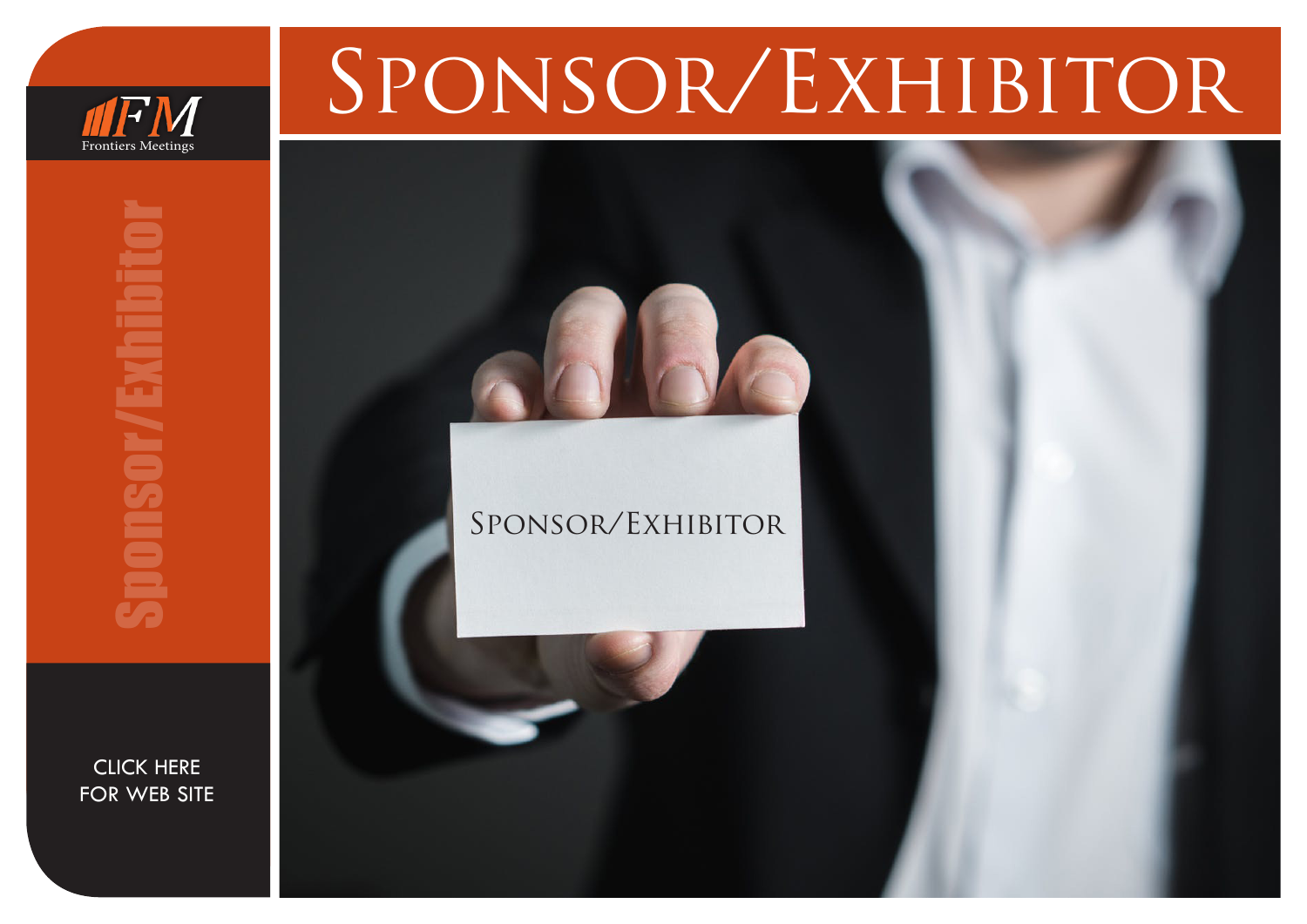# SPONSOR/EXHIBITOR

# Sponsor/Exhibitor **TRILLET**

**Frontiers Meeting** 

[CLICK HERE](https://frontiersmeetings.com/) FOR WEB SITE



# Sponsor/Exhibitor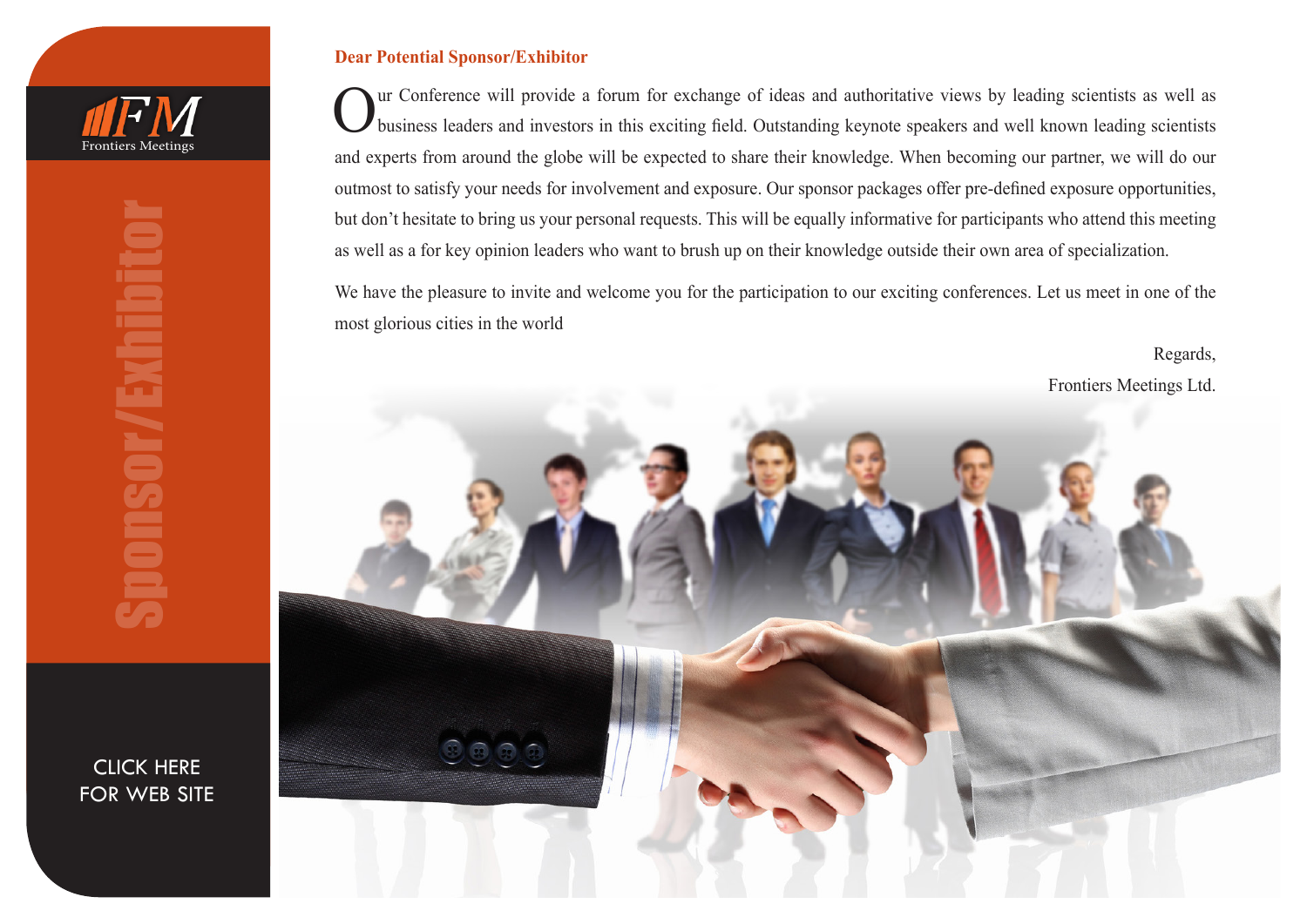

#### **Dear Potential Sponsor/Exhibitor**

Our Conference will provide a forum for exchange of ideas and authoritative views by leading scientists as well as<br>
U business leaders and investors in this exciting field. Outstanding keynote speakers and well known leadi and experts from around the globe will be expected to share their knowledge. When becoming our partner, we will do our outmost to satisfy your needs for involvement and exposure. Our sponsor packages offer pre-defined exposure opportunities, but don't hesitate to bring us your personal requests. This will be equally informative for participants who attend this meeting as well as a for key opinion leaders who want to brush up on their knowledge outside their own area of specialization.

We have the pleasure to invite and welcome you for the participation to our exciting conferences. Let us meet in one of the most glorious cities in the world

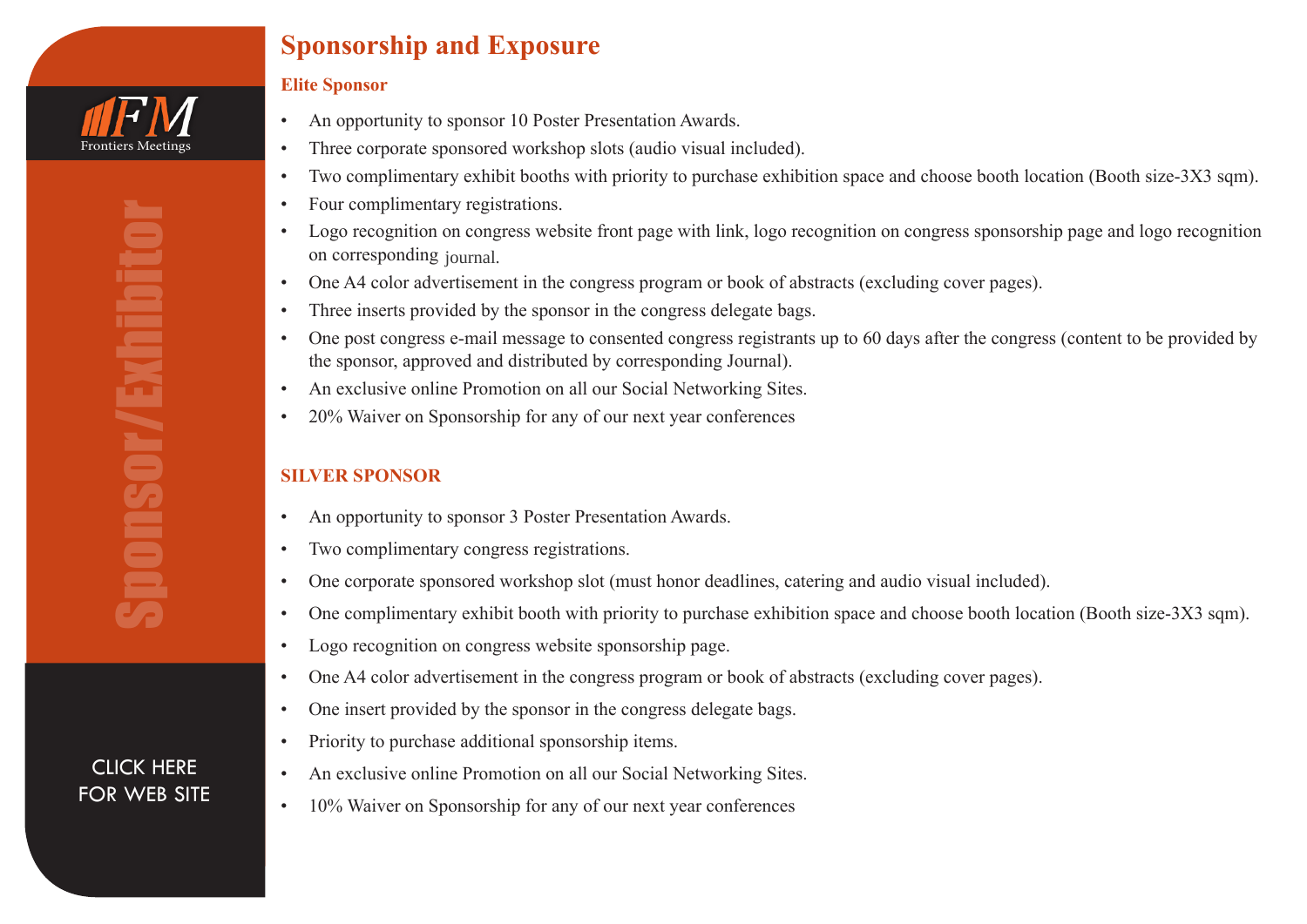

# **Sponsorship and Exposure**

#### **Elite Sponsor**

- An opportunity to sponsor 10 Poster Presentation Awards.
- Three corporate sponsored workshop slots (audio visual included).
- Two complimentary exhibit booths with priority to purchase exhibition space and choose booth location (Booth size-3X3 sqm).
- Four complimentary registrations.
- Logo recognition on congress website front page with link, logo recognition on congress sponsorship page and logo recognition on corresponding journal.
- One A4 color advertisement in the congress program or book of abstracts (excluding cover pages).
- Three inserts provided by the sponsor in the congress delegate bags.
- One post congress e-mail message to consented congress registrants up to 60 days after the congress (content to be provided by the sponsor, approved and distributed by corresponding Journal).
- An exclusive online Promotion on all our Social Networking Sites.
- 20% Waiver on Sponsorship for any of our next year conferences

## **SILVER SPONSOR**

- An opportunity to sponsor 3 Poster Presentation Awards.
- Two complimentary congress registrations.
- One corporate sponsored workshop slot (must honor deadlines, catering and audio visual included).
- One complimentary exhibit booth with priority to purchase exhibition space and choose booth location (Booth size-3X3 sqm).
- Logo recognition on congress website sponsorship page.
- One A4 color advertisement in the congress program or book of abstracts (excluding cover pages).
- One insert provided by the sponsor in the congress delegate bags.
- Priority to purchase additional sponsorship items.
- An exclusive online Promotion on all our Social Networking Sites.
- 10% Waiver on Sponsorship for any of our next year conferences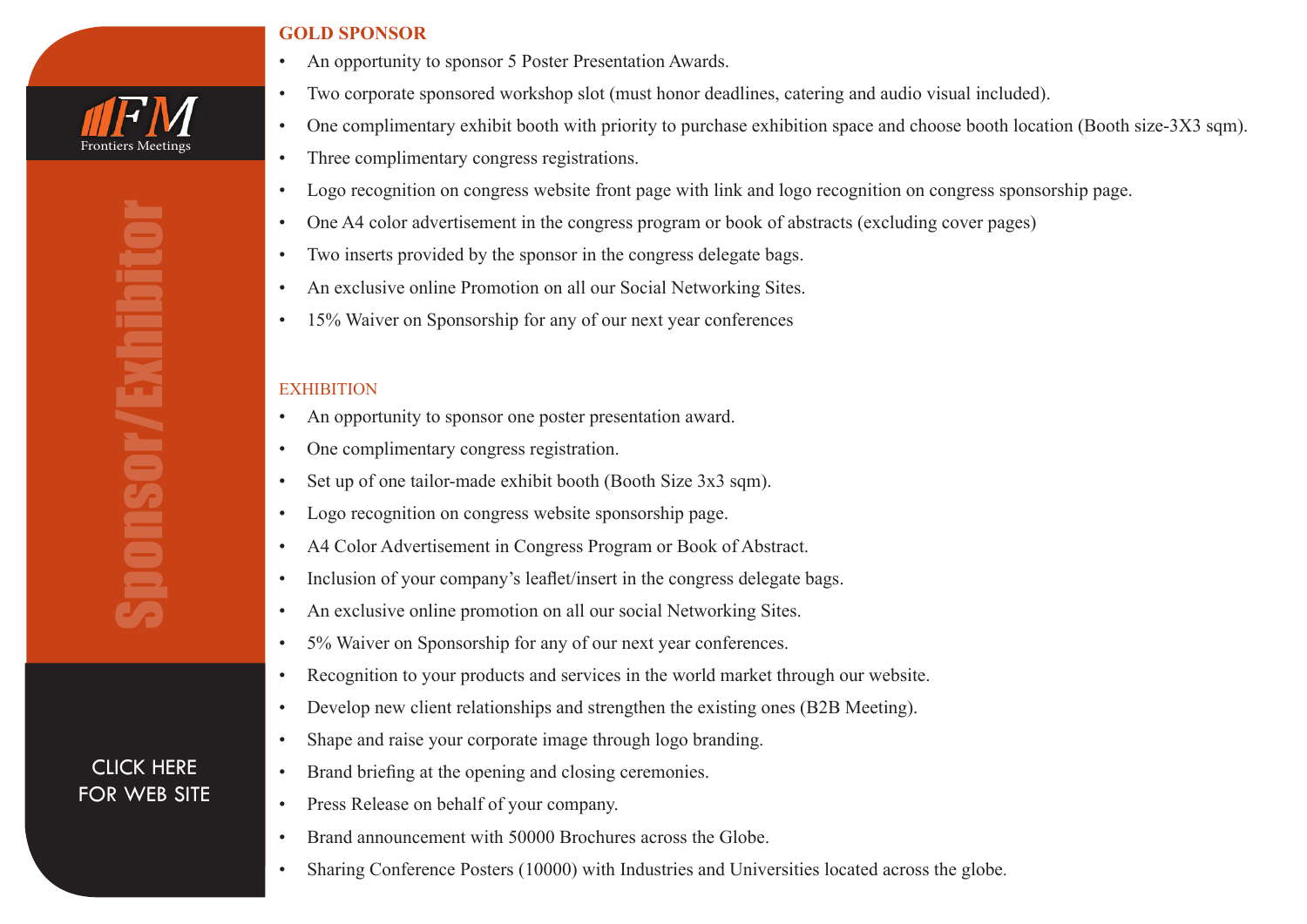

## **GOLD SPONSOR**

- An opportunity to sponsor 5 Poster Presentation Awards.
- Two corporate sponsored workshop slot (must honor deadlines, catering and audio visual included).
- One complimentary exhibit booth with priority to purchase exhibition space and choose booth location (Booth size-3X3 sqm).
- Three complimentary congress registrations.
- Logo recognition on congress website front page with link and logo recognition on congress sponsorship page.
- One A4 color advertisement in the congress program or book of abstracts (excluding cover pages)
- Two inserts provided by the sponsor in the congress delegate bags.
- An exclusive online Promotion on all our Social Networking Sites.
- 15% Waiver on Sponsorship for any of our next year conferences

#### **EXHIBITION**

- An opportunity to sponsor one poster presentation award.
- One complimentary congress registration.
- Set up of one tailor-made exhibit booth (Booth Size 3x3 sqm).
- Logo recognition on congress website sponsorship page.
- A4 Color Advertisement in Congress Program or Book of Abstract.
- Inclusion of your company's leaflet/insert in the congress delegate bags.
- An exclusive online promotion on all our social Networking Sites.
- 5% Waiver on Sponsorship for any of our next year conferences.
- Recognition to your products and services in the world market through our website.
- Develop new client relationships and strengthen the existing ones (B2B Meeting).
- Shape and raise your corporate image through logo branding.
- Brand briefing at the opening and closing ceremonies.
- Press Release on behalf of your company.
- Brand announcement with 50000 Brochures across the Globe.
- Sharing Conference Posters (10000) with Industries and Universities located across the globe.